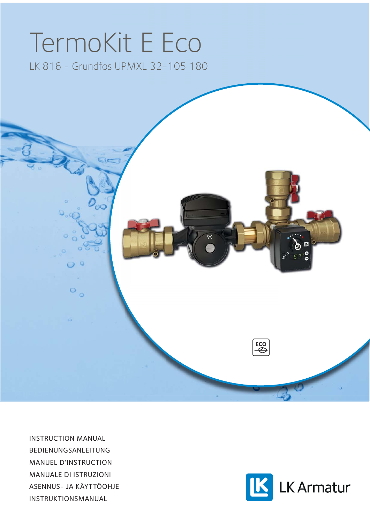# LK 816 - Grundfos UPMXL 32-105 180 TermoKit E Eco

 $ECO$ 

INSTRUCTION MANUAL BEDIENUNGSANLEITUNG MANUEL D'INSTRUCTION MANUALE DI ISTRUZIONI ASENNUS- JA KÄYTTÖOHJE INSTRUKTIONSMANUAL

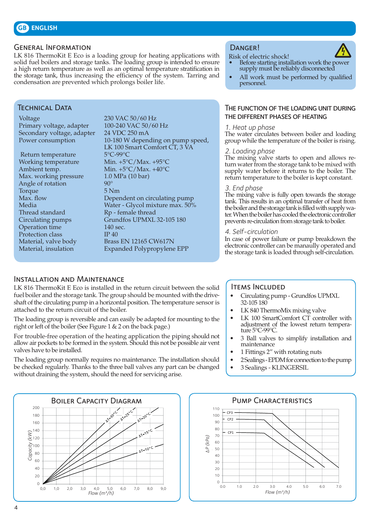

## General Information

LK 816 ThermoKit E Eco is a loading group for heating applications with solid fuel boilers and storage tanks. The loading group is intended to ensure a high return temperature as well as an optimal temperature stratification in the storage tank, thus increasing the efficiency of the system. Tarring and condensation are prevented which prolongs boiler life.

# **TECHNICAL DATA**

Voltage 230 VAC 50/60 Hz Primary voltage, adapter 100-240 VAC 50/60 Hz<br>Secondary voltage, adapter 24 VDC 250 mA Secondary voltage, adapter

Return temperature Working temperature Min. +5°C/Max. +95°C Ambient temp. Min. +5°C/Max. +40°C<br>Max. working pressure 1.0 MPa (10 bar) Max. working pressure  $1.0$ <br>Angle of rotation  $90^\circ$ Angle of rotation Torque 5 Nm<br>
Max. flow Deper Thread standard Rp - female thread Operation time 140 s<br>Protection class IP 40 Protection class<br>Material, valve body

Power consumption 10-180 W depending on pump speed, LK 100 Smart Comfort CT, 3 VA<br>5°C-99°C Dependent on circulating pump Media Water - Glycol mixture max. 50% Circulating pumps Grundfos UPMXL 32-105 180<br>Operation time 140 sec. Brass EN 12165 CW617N

Material, insulation Expanded Polypropylene EPP

## Danger!

Risk of electric shock!

- Before starting installation work the power supply must be reliably disconnected
- All work must be performed by qualified personnel.

## The function of the loading unit during the different phases of heating

#### *1. Heat up phase*

The water circulates between boiler and loading group while the temperature of the boiler is rising.

#### *2. Loading phase*

The mixing valve starts to open and allows return water from the storage tank to be mixed with supply water before it returns to the boiler. The return temperature to the boiler is kept constant.

#### *3. End phase*

The mixing valve is fully open towards the storage tank. This results in an optimal transfer of heat from the boiler and the storage tank is filled with supply water. When the boiler has cooled the electronic controller prevents re-circulation from storage tank to boiler.

#### *4. Self-circulation*

Items Included

ture 5°C-99°C.

32-105 180

In case of power failure or pump breakdown the electronic controller can be manaully operated and the storage tank is loaded through self-circulation.

• Circulating pump - Grundfos UPMXL

LK 100 SmartComfort CT controller with adjustment of the lowest return tempera-

• 3 Ball valves to simplify installation and maintenance

LK 840 ThermoMix mixing valve

• 1 Fittings 2" with rotating nuts • 2 Sealings - EPDM for connection to the pump

• 3 Sealings - KLINGERSIL

## Installation and Maintenance

LK 816 ThermoKit E Eco is installed in the return circuit between the solid fuel boiler and the storage tank. The group should be mounted with the driveshaft of the circulating pump in a horizontal position. The temperature sensor is attached to the return circuit of the boiler.

The loading group is reversible and can easily be adapted for mounting to the right or left of the boiler (See Figure 1 & 2 on the back page.)

For trouble-free operation of the heating application the piping should not allow air pockets to be formed in the system. Should this not be possible air vent valves have to be installed.

The loading group normally requires no maintenance. The installation should be checked regularly. Thanks to the three ball valves any part can be changed without draining the system, should the need for servicing arise.



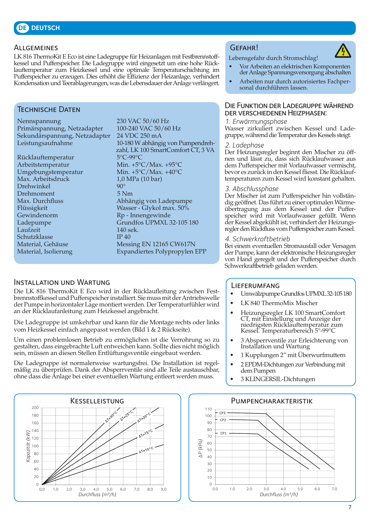## **ALLGEMEINES**

LK 816 ThermoKit E Eco ist eine Ladegruppe für Heizanlagen mit Festbrennstoffkessel und Pufferspeicher. Die Ladegruppe wird eingesetzt um eine hohe Rücklauftemperatur zum Heizkessel und eine optimale Temperaturschichtung im Pufferspeicher zu erzeugen. Dies erhöht die Effizienz der Heizanlage, verhindert Kondensation und Teerablagerungen, was die Lebensdauer der Anlage verlängert.

## Technische Daten

Nennspannung 230 VAC 50/60 Hz<br>Primärspannung, Netzadapter 100-240 VAC 50/60 Hz Primärspannung, Netzadapter 100-240 VAC 50,<br>Sekundärspannung, Netzadapter 24 VDC 250 mA Sekundärspannung, Netzadapter

 Rücklauftemperatur 5°C-99°C Max. Arbeitsdruck 1,0 MPa (10 bar)<br>Drehwinkel 90° Drehwinkel Drehmoment 5 Nm Gewindenorm Rp - Innengewinde Laufzeit Schutzklasse IP 40 Material, Gehäuse Messing EN 12165 CW617N<br>Material, Isolierung Expandiertes Polypropylen

Leistungsaufnahme 10-180 W abhängig von Pumpendreh zahl, LK 100 SmartComfort CT, 3 VA Arbeitstemperatur Min. +5°C/Max. +95°C Umgebungstemperatur Min. +5°C/Max. +40°C Abhängig von Ladepumpe Flüssigkeit Wasser - Glykol max. 50% Ladepumpe Grundfos UPMXL 32-105 180

Expandiertes Polypropylen EPP

## Installation und Wartung

Die LK 816 ThermoKit E Eco wird in der Rücklaufleitung zwischen Festbrennstoffkessel und Pufferspeicher installiert. Sie muss mit der Antriebswelle der Pumpe in horizontaler Lage montiert werden. Der Temperaturfühler wird an der Rücklaufanleitung zum Heizkessel angebracht.

Die Ladegruppe ist umkehrbar und kann für die Montage rechts oder links vom Heizkessel einfach angepasst werden (Bild 1 & 2 Rückseite).

Um einen problemlosen Betrieb zu ermöglichen ist die Verrohrung so zu gestalten, dass eingebrachte Luft entweichen kann. Sollte dies nicht möglich sein, müssen an diesen Stellen Entlüftungsventile eingebaut werden.

Die Ladegruppe ist normalerweise wartungsfrei. Die Installation ist regelmäßig zu überprüfen. Dank der Absperrventile sind alle Teile austauschbar, ohne dass die Anlage bei einer eventuellen Wartung entleert werden muss.



# Gefahr!

Lebensgefahr durch Stromschlag!

- Vor Arbeiten an elektrischen Komponenten der Anlage Spannungsversorgung abschalten
- Arbeiten nur durch autorisiertes Fachper- sonal durchführen lassen.

## Die Funktion der Ladegruppe während der verschiedenen Heizphasen:

#### *1. Erwärmungsphase*

Wasser zirkuliert zwischen Kessel und Ladegruppe, während die Temperatur des Kessels steigt.

#### *2. Ladephase*

Der Heizungsregler beginnt den Mischer zu öffnen und lässt zu, dass sich Rücklaufwasser aus dem Pufferspeicher mit Vorlaufwasser vermischt, bevor es zurück in den Kessel fliesst. Die Rücklauftemperaturen zum Kessel wird konstant gehalten.

#### *3. Abschlussphase*

Der Mischer ist zum Pufferspeicher hin vollständig geöffnet. Das führt zu einer optimalen Wärmeübertragung aus dem Kessel und der Pufferspeicher wird mit Vorlaufwasser gefüllt. Wenn der Kessel abgekühlt ist, verhindert der Heizungsregler den Rückfluss vom Pufferspeicher zum Kessel.

#### *4. Schwerkraftbetrieb*

Bei einem eventuellen Stromausfall oder Versagen der Pumpe, kann der elektronische Heizungsregler von Hand geregelt und der Pufferspeicher durch Schwerkraftbetrieb geladen werden.

#### **LIEFERUMFANG**

- Umwälzpumpe Grundfos UPMXL 32-105 180
- LK 840 ThermoMix Mischer
- Heizungsregler LK 100 SmartComfort CT, mit Einstellung und Anzeige der niedrigsten Rücklauftemperatur zum Kessel. Temperaturbereich 5°-99°C
- 3 Absperrventile zur Erleichterung von Installation und Wartung
- 1 Kupplungen 2" mit Überwurfmuttern
- 2 EPDM-Dichtungen zur Verbindung mit dem Pumpen
- 3 KLINGERSIL-Dichtungen

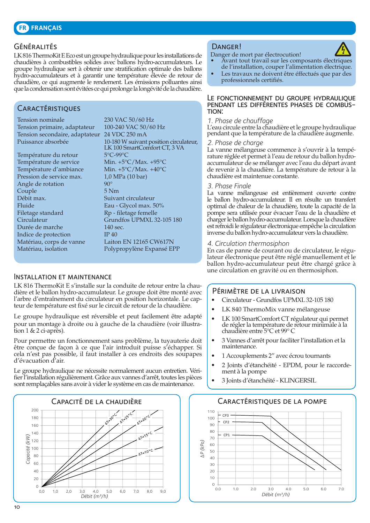

## Généralités

LK 816 ThermoKit E Eco est un groupe hydraulique pour les installations de chaudières à combustibles solides avec ballons hydro-accumulateurs. Le groupe hydraulique sert à obtenir une stratification optimale des ballons hydro- accumulateurs et à garantir une température élevée de retour de chaudière, ce qui augmente le rendement. Les émissions polluantes ainsi que la condensation sont évitées ce qui prolonge la longévité de la chaudière.

# **CARACTÉRISTIQUES**

Tension nominale 230 VAC 50/60 Hz Tension primaire, adaptateur 100-240 VAC 50/60 Hz Tension secondaire, adaptateur 24 VDC 250 mA

Température du retour 5°C-99°C Température de service Min. +5°C/Max. +95°C Température d'ambiance Min. +5°C/Max. +40°C Pression de service max.  $1,0 \text{ MPa } (10 \text{ bar})$ <br>Angle de rotation  $90^{\circ}$ Angle de rotation Couple 5 Nm Débit max. Suivant circulateur Fluide Eau - Glycol max. 50% Filetage standard Rp - filetage femelle<br>Circulateur Grundfos UPMXL 3 Durée de marche 140 s<br>Indice de protection IP 40 Indice de protection Matériau, corps de vanne Laiton EN 12165 CW617N Matériau, isolation Polypropylène Expansé EPP

 Puissance absorbée 10-180 W suivant position circulateur, LK 100 SmartComfort CT, 3 VA Grundfos UPMXL 32-105 180<br>140 sec.

## Installation et maintenance

LK 816 ThermoKit E s'installe sur la conduite de retour entre la chaudière et le ballon hydro-accumulateur. Le groupe doit être monté avec l'arbre d'entraînement du circulateur en position horizontale. Le capteur de température est fixé sur le circuit de retour de la chaudière.

Le groupe hydraulique est réversible et peut facilement être adapté pour un montage à droite ou à gauche de la chaudière (voir illustration 1 & 2 ci-après).

Pour permettre un fonctionnement sans problème, la tuyauterie doit être conçue de façon à ce que l'air introduit puisse s'échapper. Si cela n'est pas possible, il faut installer à ces endroits des soupapes d'évacuation d'air.

Le groupe hydraulique ne nécessite normalement aucun entretien. Vérifier l'installation régulièrement. Grâce aux vannes d'arrêt, toutes les pièces sont remplaçables sans avoir à vider le système en cas de maintenance.



## DANGER!

Danger de mort par électrocution!

- Avant tout travail sur les composants électriques de l'installation, couper l'alimentation électrique.
- Les travaux ne doivent être éffectués que par des professionnels certifiés.

#### Le fonctionnement du groupe hydraulique pendant les différentes phases de combustion:

#### *1. Phase de chauffage*

L'eau circule entre la chaudière et le groupe hydraulique pendant que la température de la chaudière augmente.

#### *2. Phase de charge*

La vanne mélangeuse commence à s'ouvrir à la température réglée et permet à l'eau de retour du ballon hydroaccumulateur de se mélanger avec l'eau du départ avant de revenir à la chaudière. La température de retour à la chaudière est maintenue constante.

#### *3. Phase Finale*

La vanne mélangeuse est entièrement ouverte contre le ballon hydro-accumulateur. Il en résulte un transfert optimal de chaleur de la chaudière, toute la capacité de la pompe sera utilisée pour évacuer l'eau de la chaudière et charger le ballon hydro-accumulateur. Lorsque la chaudière est refroidi le régulateur électronique empêche la circulation inverse du ballon hydro- accumulateur vers la chaudière.

#### *4. Circulation thermosiphon*

En cas de panne de courant ou de circulateur, le régulateur électronique peut être réglé manuellement et le ballon hydro-accumulateur peut être chargé grâce à une circulation en gravité ou en thermosiphon.

## Périmètre de la livraison

- Circulateur Grundfos UPMXL 32-105 180
- LK 840 ThermoMix vanne mélangeuse
- LK 100 SmartComfort CT régulateur qui permet de régler la température de retour minimale à la chaudière entre 5°C et 99° C
- 3 Vannes d'arrêt pour faciliter l'installation et la maintenance.
- 1 Accouplements 2" avec écrou tournants
- 2 Joints d'étanchéité EPDM, pour le raccorde- ment à la pompe
	- 3 Joints d'étanchéité KLINGERSIL

## Caractéristiques de la pompe

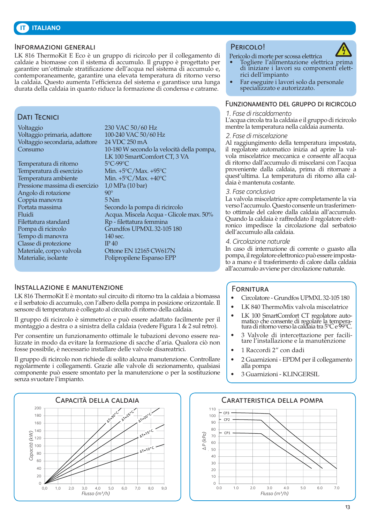

#### Informazioni generali

LK 816 ThermoKit E Eco è un gruppo di ricircolo per il collegamento di caldaie a biomasse con il sistema di accumulo. Il gruppo è progettato per garantire un'ottimale stratificazione dell'acqua nel sistema di accumulo e, contemporaneamente, garantire una elevata temperatura di ritorno verso la caldaia. Questo aumenta l'efficienza del sistema e garantisce una lunga durata della caldaia in quanto riduce la formazione di condensa e catrame.

## DATI TECNICI

Voltaggio 230 VAC 50/60 Hz<br>Voltaggio primaria, adattore 100-240 VAC 50/60 Hz Voltaggio primaria, adattore 100-240 VAC 50/<br>Voltaggio secondaria, adattore 24 VDC 250 mA Voltaggio secondaria, adattore

Temperatura di ritorno Temperatura di esercizio Min. +5°C/Max. +95°C Temperatura ambiente Min. +5°C/Max. +40°C<br>Pressione massima di esercizio 1,0 MPa (10 bar) Pressione massima di esercizio Angolo di rotazione  $90^{\circ}$  Coppia manovra 5 Nm Filettatura standard Rp - filettatura femmina<br>Pompa di ricircolo Grundfos UPMXL 32-10 Tempo di manovra 140 sec.<br>Classe di protezione 112.40 Classe di protezione<br>Materiale, corpo valvola Materialie, isolante Polipropilene Espanso EPP

 Consumo 10-180 W secondo la velocità della pompa, LK 100 SmartComfort CT, 3 VA<br>5°C-99°C Portata massima Secondo la pompa di ricircolo<br>Fluidi di Romano di Romano Acqua. Miscela Acqua - Glicol Fluidi Acqua. Miscela Acqua - Glicole max. 50% Grundfos UPMXL 32-105 180 Ottone EN 12165 CW617N

## Installazione e manutenzione

LK 816 ThermoKit E è montato sul circuito di ritorno tra la caldaia a biomassa e il serbatoio di accumulo, con l'albero della pompa in posizione orizzontale. Il sensore di temperatura è collegato al circuito di ritorno della caldaia.

Il gruppo di ricircolo è simmetrico e può essere adattato facilmente per il montaggio a destra o a sinistra della caldaia (vedere Figura 1 & 2 sul retro).

Per consentire un funzionamento ottimale le tubazioni devono essere realizzate in modo da evitare la formazione di sacche d'aria. Qualora ciò non fosse possibile, è necessario installare delle valvole disareatrici.

Il gruppo di ricircolo non richiede di solito alcuna manutenzione. Controllare regolarmente i collegamenti. Grazie alle valvole di sezionamento, qualsiasi componente può essere smontato per la manutenzione o per la sostituzione senza svuotare l'impianto.



## Pericolo!

- Pericolo di morte per scossa elettrica<br>
 Togliere l'alimentazione elettrica prima di iniziare i lavori su componenti elettrici dell'impianto
- Far eseguire i lavori solo da personale specializzato e autorizzato.

#### Funzionamento del gruppo di ricircolo

#### *1. Fase di riscaldamento*

L'acqua circola tra la caldaia e il gruppo di ricircolo mentre la temperatura nella caldaia aumenta.

#### *2. Fase di miscelazione*

Al raggiungimento della temperatura impostata, il regolatore automatico inizia ad aprire la valvola miscelatrice meccanica e consente all'acqua di ritorno dall'accumulo di miscelarsi con l'acqua proveniente dalla caldaia, prima di ritornare a quest'ultima. La temperatura di ritorno alla caldaia è mantenuta costante.

#### *3. Fase conclusiva*

La valvola miscelatrice apre completamente la via verso l'accumulo. Questo consente un trasferimento ottimale del calore dalla caldaia all'accumulo. Quando la caldaia è raffreddato il regolatore elettronico impedisce la circolazione dal serbatoio dell'accumulo alla caldaia.

#### *4. Circolazione naturale*

In caso di interruzione di corrente o guasto alla pompa, il regolatore elettronico può essere impostato a mano e il trasferimento di calore dalla caldaia all'accumulo avviene per circolazione naturale.

## **FORNITURA**

- Circolatore Grundfos UPMXL 32-105 180
- LK 840 ThermoMix valvola miscelatrice
- LK 100 SmartComfort CT regolatore auto- matico che consente di regolare la temperatura di ritorno verso la caldaia tra 5°C e 99°C.
- 3 Valvole di intercettazione per facili- tare l'installazione e la manutenzione
- 1 Raccordi 2" con dadi
- 2 Guarnizioni EPDM per il collegamento alla pompa
- 3 Guarnizioni KLINGERSIL

## Caratteristica della pompa

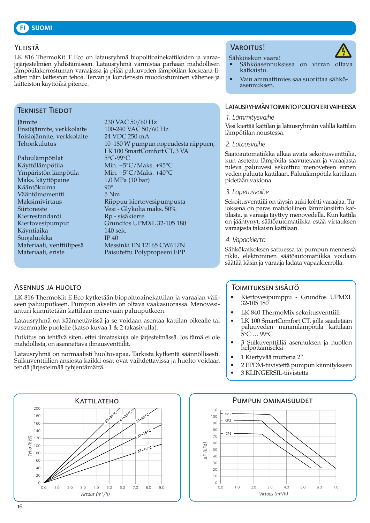

## YI FISTÄ

LK 816 ThermoKit T Eco on latausryhmä biopolttoaine kattiloiden ja varaajajärjestelmien yhdistämiseen. Latausryhmä varmistaa parhaan mahdollisen lämpötilakerrostuman varaajassa ja pitää paluuveden lämpötilan korkeana lisäten näin laitteiston tehoa. Tervan ja kondenssin muodostuminen vähenee ja laitteiston käyttöikä pitenee.

## **TEKNISET TIEDOT**

Ensiöjännite, verkkolaite 100-240 VAC 50/60 Hz<br>Toisiojännite, verkkolaite 24 VDC 250 mA Toisiojännite, verkkolaite<br>Tehonkulutus

Paluulämpötilat Maks. käyttöpaine 1,0 MPa (10 bar) Kääntökulma 90° Vääntömomentti Kierrestandardi Käyntiaika 140 s<br>Suojaluokka 140 sek Suojaluokka

Jännite 230 VAC 50/60 Hz 10–180 W pumpun nopeudesta riippuen, LK 100 SmartComfort CT, 3 VA<br>5°C-99°C Käyttölämpötila Min. +5°C/Maks. +95°C<br>
Ympäristön lämpötila Min. +5°C/Maks. +40°C Min.  $+5^{\circ}C/Maks. +40^{\circ}C$ <br>1,0 MPa (10 bar) Maksimivirtaus Riippuu kiertovesipumpusta Siirtoneste Vesi - Glykolia maks. 50%<br>Kierrestandardi Rp - sisäkierre Kiertovesipumput Grundfos UPMXL 32-105 180<br>Käyntiaika 140 sek Materiaali, venttiilipesä Messinki EN 12165 CW617N

Materiaali, eriste Paisutettu Polypropeeni EPP

## Asennus ja huolto

LK 816 ThermoKit E Eco kytketään biopolttoainekattilan ja varaajan väliseen paluuputkeen. Pumpun akselin on oltava vaakasuorassa. Menovesianturi kiinnitetään kattilaan menevään paluuputkeen.

Latausryhmä on käännettävissä ja se voidaan asentaa kattilan oikealle tai vasemmalle puolelle (katso kuvaa 1 & 2 takasivulla).

Putkitus on tehtävä siten, ettei ilmataskuja ole järjestelmässä. Jos tämä ei ole mahdollista, on asennettava ilmausventtiilit.

Latausryhmä on normaalisti huoltovapaa. Tarkista kytkentä säännöllisesti. Sulkuventtiilien ansiosta kaikki osat ovat vaihdettavissa ja huolto voidaan tehdä järjestelmää tyhjentämättä.



# **VAROITUS!**

Sähköiskun vaara!

- Sähköasennuksissa on virran oltava katkaistu.
- Vain ammattimies saa suorittaa sähköasennuksen.

## Latausryhmän toiminto polton eri vaiheissa

## *1. Lämmitysvaihe*

Vesi kiertää kattilan ja latausryhmän välillä kattilan lämpötilan noustessa.

#### *2. Latausvaihe*

Säätöautomatiikka alkaa avata sekoitusventtiiliä, kun asetettu lämpötila saavutetaan ja varaajasta tuleva paluuvesi sekoittuu menoveteen ennen veden paluuta kattilaan. Paluulämpötila kattilaan pidetään vakiona.

#### *3. Lopetusvaihe*

Sekoitusventtiili on täysin auki kohti varaajaa. Tuloksena on paras mahdollinen lämmönsiirto kattilasta, ja varaaja täyttyy menovedellä. Kun kattila on jäähtynyt, säätöautomatiikka estää virtauksen varaajasta takaisin kattilaan.

#### *4. Vapaakierto*

Sähkökatkoksen sattuessa tai pumpun mennessä rikki, elektroninen säätöautomatiikka voidaan säätää käsin ja varaaja ladata vapaakierrolla.

## Toimituksen sisältö

- Kiertovesipumppu Grundfos UPMXL 32-105 180
- LK 840 ThermoMix sekoitusventtiili
- LK 100 SmartComfort CT, jolla säädetään paluuveden minimilämpötila kattilaan 5°C … 99°C
- 3 Sulkuventtiiliä asennuksen ja huollon helpottamiseksi
- 1 Kiertyvää mutteria 2"
- 2 EPDM-tiivistettä pumpun kiinnitykseen
- 3 KLINGERSIL-tiivistettä

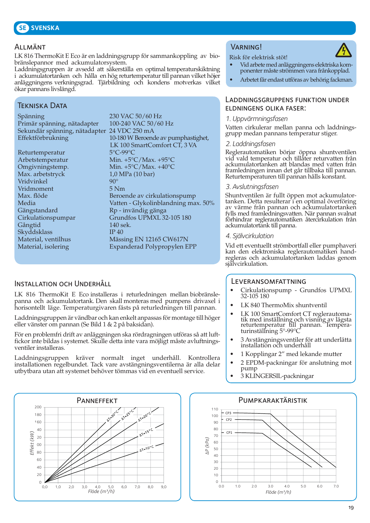

## **ALLMÄNT**

LK 816 ThermoKit E Eco är en laddningsgrupp för sammankoppling av biobränslepannor med ackumulatorsystem.

Laddningsgruppen är avsedd att säkerställa en optimal temperaturskiktning i ackumulatortanken och hålla en hög returtemperatur till pannan vilket höjer anläggningens verkningsgrad. Tjärbildning och kondens motverkas vilket ökar pannans livslängd.

## **TEKNISKA DATA**

Spänning 230 VAC 50/60 Hz Primär spänning, nätadapter 100-240 VAC 50/60 Hz Sekundär spänning, nätadapter 24 VDC 250 mA

Returtemperatur Max. arbetstryck 1,0 MPa (10 bar)<br>Vridvinkel 90° Vridvinkel 90°<br>Vridmoment 5 Nm Vridmoment<br>Max flöde Gängstandard Rp - invändig gänga Gångtid 140 sek. Skyddsklass IP 40 Material, isolering Expanderad Polypropylen EPP

 Effektförbrukning 10-180 W Beroende av pumphastighet, LK 100 SmartComfort CT, 3 VA<br>5°C-99°C Arbetstemperatur Min. +5°C/Max. +95°C Omgivningstemp. Min. +5°C/Max. +40°C Max. flöde Beroende av cirkulationspump<br>Media Beroende av Cirkulationspump<br>Vatten - Glykolinblandning ma Vatten - Glykolinblandning max. 50% Cirkulationspumpar Grundfos UPMXL 32-105 180 Material, ventilhus Mässing EN 12165 CW617N

# Installation och Underhåll

LK 816 ThermoKit E Eco installeras i returledningen mellan biobränslepanna och ackumulatortank. Den skall monteras med pumpens drivaxel i horisontellt läge. Temperaturgivaren fästs på returledningen till pannan.

Laddningsgruppen är vändbar och kan enkelt anpassas för montage till höger eller vänster om pannan (Se Bild 1 & 2 på baksidan).

För en problemfri drift av anläggningen ska rördragningen utföras så att luftfickor inte bildas i systemet. Skulle detta inte vara möjligt måste avluftningsventiler installeras.

Laddningsgruppen kräver normalt inget underhåll. Kontrollera installationen regelbundet. Tack vare avstängningsventilerna är alla delar utbytbara utan att systemet behöver tömmas vid en eventuell service.



# VARNING!

Risk för elektrisk stöt!

- Vid arbete med anläggningens elektriska komponenter måste strömmen vara frånkopplad.
- Arbetet får endast utföras av behörig fackman.

## Laddningsgruppens funktion under eldningens olika faser:

#### *1. Uppvärmningsfasen*

Vatten cirkulerar mellan panna och laddningsgrupp medan pannans temperatur stiger.

#### *2. Laddningsfasen*

Reglerautomatiken börjar öppna shuntventilen vid vald temperatur och tillåter returvatten från ackumulatortanken att blandas med vatten från framledningen innan det går tillbaka till pannan. Returtemperaturen till pannan hålls konstant.

#### *3. Avslutningsfasen*

Shuntventilen är fullt öppen mot ackumulatortanken. Detta resulterar i en optimal överföring av värme från pannan och ackumulatortanken fylls med framledningsvatten. När pannan svalnat förhindrar reglerautomatiken återcirkulation från ackumulatortank till panna.

#### *4. Självcirkulation*

Vid ett eventuellt strömbortfall eller pumphaveri kan den elektroniska reglerautomatiken handregleras och ackumulatortanken laddas genom självcirkulation.

## Leveransomfattning

- Cirkulationspump Grundfos UPMXL 32-105 180
- LK 840 ThermoMix shuntventil
- LK 100 SmartComfort CT reglerautoma- tik med inställning och visning av lägsta returtemperatur till pannan. Temperaturinställning 5°-99°C
- 3 Avstängningsventiler för att underlätta installation och underhåll
- 1 Kopplingar 2" med lekande mutter
- 2 EPDM-packningar för anslutning mot pump
- 3 KLINGERSIL-packningar